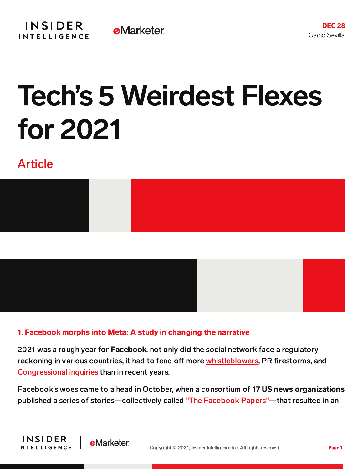

# Tech's 5 Weirdest Flexes for 2021

# Article





#### 1. Facebook morphs into Meta: A study in changing the narrative

2021 was a rough year for Facebook, not only did the social network face a regulatory reckoning in various countries, it had to fend off more [whistleblowers,](https://content-na2.emarketer.com/web-summit-2021-frances-haugen-suggests-meta-won-t-solve-its-problems-mark-zuckerberg-remains-ceo) PR firestorms, and [Congressional](https://www.cnn.com/2021/03/25/tech/tech-ceos-hearing/index.html) inquiries than in recent years.

Facebook's woes came to a head in October, when a consortium of 17 US news organizations published a series of stories—collectively called "The [Facebook](https://content-na2.emarketer.com/podcast-lot-going-on-with-facebook-q3-earnings-apples-effect-facebook-papers) Papers"—that resulted in an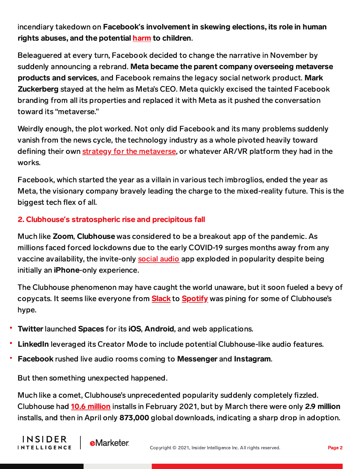incendiary takedown on Facebook**'**s involvement in skewing elections, its role in human rights abuses, and the potential [harm](https://content-na2.emarketer.com/facebook-comes-under-fire-instagram-kids-on-pause) to children.

Beleaguered at every turn, Facebook decided to change the narrative in November by suddenly announcing a rebrand. Meta became the parent company overseeing metaverse products and services, and Facebook remains the legacy social network product. Mark Zuckerberg stayed at the helm as Meta's CEO. Meta quickly excised the tainted Facebook branding from all its properties and replaced it with Meta as it pushed the conversation toward its "metaverse."

Weirdly enough, the plot worked. Not only did Facebook and its many problems suddenly vanish from the news cycle, the technology industry as a whole pivoted heavily toward defining their own strategy for the [metaverse,](https://content-na2.emarketer.com/insider-intelligence-tech-trends-watch-2022) or whatever AR/VR platform they had in the works.

Facebook, which started the year as a villain in various tech imbroglios, ended the year as Meta, the visionary company bravely leading the charge to the mixed-reality future. This is the biggest tech flex of all.

# 2. Clubhouse**'**s stratospheric rise and precipitous fall

Much like Zoom, Clubhouse was considered to be a breakout app of the pandemic. As millions faced forced lockdowns due to the early COVID-19 surges months away from any vaccine availability, the invite-only [social](https://content-na2.emarketer.com/clubhouse-and-social-audio-2021) audio app exploded in popularity despite being initially an iPhone-only experience.

The Clubhouse phenomenon may have caught the world unaware, but it soon fueled a bevy of copycats. It seems like everyone from **[Slack](https://gizmodo.com/boldly-following-every-other-tech-company-slack-is-clo-1846562076)** to **[Spotify](https://techcrunch.com/2021/06/19/this-week-in-apps-spotify-debuts-a-clubhouse-rival-facebook-tests-audio-rooms-in-us-amazon-cuts-appstore-commissions/)** was pining for some of Clubhouse's hype.

- Twitter launched Spaces for its iOS, Android, and web applications.
- **LinkedIn** leveraged its Creator Mode to include potential Clubhouse-like audio features.
- Facebook rushed live audio rooms coming to Messenger and Instagram.

But then something unexpected happened.

Much like a comet, Clubhouse's unprecedented popularity suddenly completely fizzled. Clubhouse had **10.6 [million](https://apptica.com/blog/hype-rooms-and-invitations-why-clubhouse-app-is-losing-the-game/)** installs in February 2021, but by March there were only 2.9 million installs, and then in April only 873,000 global downloads, indicating a sharp drop in adoption.

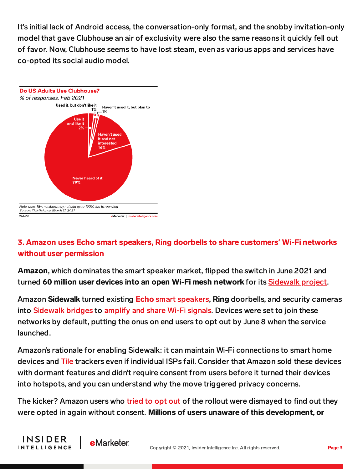It's initial lack of Android access, the conversation-only format, and the snobby invitation-only model that gave Clubhouse an air of exclusivity were also the same reasons it quickly fell out of favor. Now, Clubhouse seems to have lost steam, even as various apps and services have co-opted its social audio model.



# 3. Amazon uses Echo smart speakers, Ring doorbells to share customers**'** Wi-Fi networks without user permission

Amazon, which dominates the smart speaker market, flipped the switch in June 2021 and turned 60 million user devices into an open Wi-Fi mesh network for its [Sidewalk](https://content-na2.emarketer.com/amazon-s-sidewalk-network-shares-home-networks-with-strangers-triggers-privacy-concerns) project.

Amazon Sidewalk turned existing **Echo** smart [speakers,](https://content-na2.emarketer.com/amazon-s-expanded-line-of-echo-devices-help-grow-its-market-dominance-boost-its-sidewalk-signal) Ring doorbells, and security cameras into [Sidewalk](https://www.amazon.com/Amazon-Sidewalk/b?node=21328123011) bridges to [amplify](https://www.wired.com/story/how-amazon-sidewalk-works/) and share Wi-Fi signals. Devices were set to join these networks by default, putting the onus on end users to opt out by June 8 when the service launched.

Amazon's rationale for enabling Sidewalk: it can maintain Wi-Fi connections to smart home devices and [Tile](https://www.cnbc.com/2021/05/07/amazon-partners-with-tile-to-take-on-apple-airtags.html) trackers even if individual ISPs fail. Consider that Amazon sold these devices with dormant features and didn't require consent from users before it turned their devices into hotspots, and you can understand why the move triggered privacy concerns.

The kicker? Amazon users who [tried](https://www.reddit.com/r/HomeNetworking/comments/nnugs0/psa_ive_now_opted_out_of_amazon_sidewalk_three/?utm_source=share&utm_medium=ios_app&utm_name=iossmf) to opt out of the rollout were dismayed to find out they were opted in again without consent. Millions of users unaware of this development, or



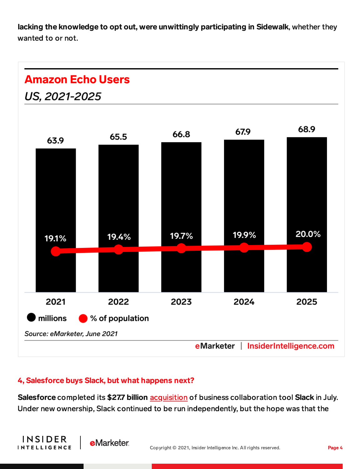lacking the knowledge to opt out, were unwittingly participating in Sidewalk, whether they wanted to or not.

# **Amazon Echo Users**





#### 4, Salesforce buys Slack, but what happens next?

**e**Marketer

**INSIDER** 

**INTELLIGENCE** 

Salesforce completed its \$27.7 billion [acquisition](https://content-na2.emarketer.com/salesforce-announces-its-first-slack-tie-ups-since-its-acquisition-closed) of business collaboration tool Slack in July. Under new ownership, Slack continued to be run independently, but the hope was that the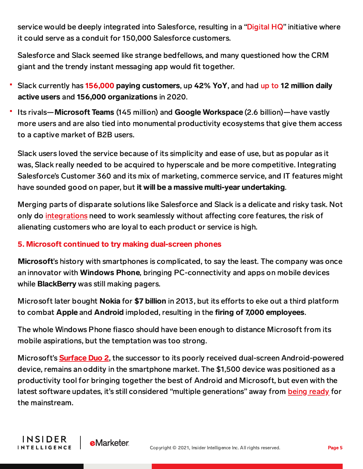service would be deeply integrated into Salesforce, resulting in a ["Digital](https://www.salesforce.com/news/stories/the-digital-hq-benioff-taylor-and-butterfield-share-their-vision-for-the-future-of-slack-and-salesforce/) HQ" initiative where it could serve as a conduit for 150,000 Salesforce customers.

Salesforce and Slack seemed like strange bedfellows, and many questioned how the CRM giant and the trendy instant messaging app would fit together.

- Slack currently has [156,000](https://www.techradar.com/news/slack-adds-record-number-of-paying-customers-last-year) paying customers, up 42% YoY, and had [up](https://www.businessofapps.com/data/slack-statistics/) to 12 million daily active users and 156,000 organizations in 2020.
- Its rivals—Microsoft Teams (145 million) and Google Workspace (2.6 billion)—have vastly more users and are also tied into monumental productivity ecosystems that give them access to a captive market of B2B users.

Slack users loved the service because of its simplicity and ease of use, but as popular as it was, Slack really needed to be acquired to hyperscale and be more competitive. Integrating Salesforce's Customer 360 and its mix of marketing, commerce service, and IT features might have sounded good on paper, but it will be a massive multi-year undertaking.

Merging parts of disparate solutions like Salesforce and Slack is a delicate and risky task. Not only do [integrations](https://content-na2.emarketer.com/salesforce-s-slack-acquisition-could-lead-deeper-feature-integration-business-users) need to work seamlessly without affecting core features, the risk of alienating customers who are loyal to each product or service is high.

# 5. Microsoft continued to try making dual-screen phones

Microsoft's history with smartphones is complicated, to say the least. The company was once an innovator with Windows Phone, bringing PC-connectivity and apps on mobile devices while **BlackBerry** was still making pagers.

Microsoft later bought **Nokia** for \$7 billion in 2013, but its efforts to eke out a third platform to combat Apple and Android imploded, resulting in the firing of 7,000 employees.

The whole Windows Phone fiasco should have been enough to distance Microsoft from its mobile aspirations, but the temptation was too strong.

Microsoft's **[Surface](https://content-na2.emarketer.com/with-new-crop-of-surfaces-microsoft-doubles-down-on-dual-screen-smartphones) Duo 2**, the successor to its poorly received dual-screen Android-powered device, remains an oddity in the smartphone market. The \$1,500 device was positioned as a productivity tool for bringing together the best of Android and Microsoft, but even with the latest software updates, it's still considered "multiple generations" away from being [ready](https://techcrunch.com/2021/10/21/surface-duo-2-review-getting-better/) for the mainstream.